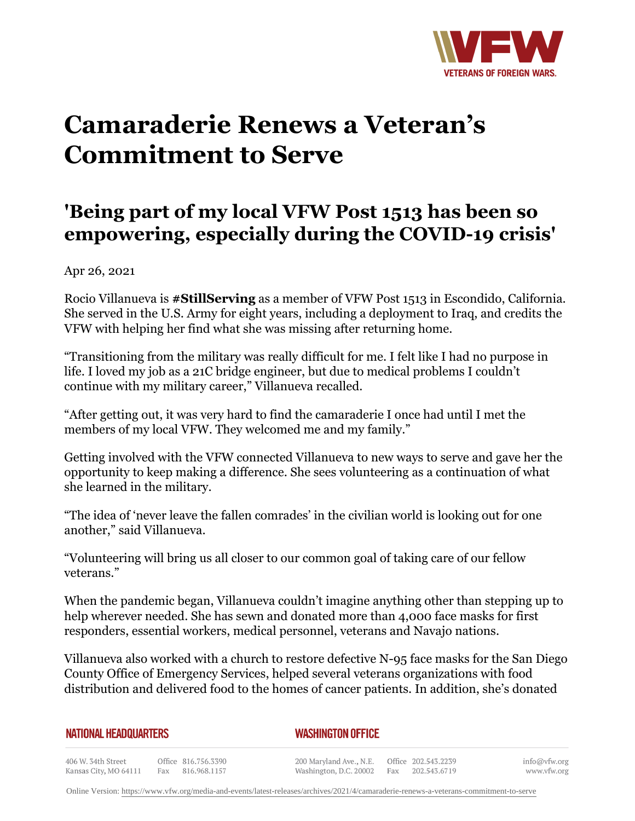

## **Camaraderie Renews a Veteran's Commitment to Serve**

## **'Being part of my local VFW Post 1513 has been so empowering, especially during the COVID-19 crisis'**

Apr 26, 2021

Rocio Villanueva is **#StillServing** as a member of VFW Post 1513 in Escondido, California. She served in the U.S. Army for eight years, including a deployment to Iraq, and credits the VFW with helping her find what she was missing after returning home.

"Transitioning from the military was really difficult for me. I felt like I had no purpose in life. I loved my job as a 21C bridge engineer, but due to medical problems I couldn't continue with my military career," Villanueva recalled.

"After getting out, it was very hard to find the camaraderie I once had until I met the members of my local VFW. They welcomed me and my family."

Getting involved with the VFW connected Villanueva to new ways to serve and gave her the opportunity to keep making a difference. She sees volunteering as a continuation of what she learned in the military.

"The idea of 'never leave the fallen comrades' in the civilian world is looking out for one another," said Villanueva.

"Volunteering will bring us all closer to our common goal of taking care of our fellow veterans."

When the pandemic began, Villanueva couldn't imagine anything other than stepping up to help wherever needed. She has sewn and donated more than 4,000 face masks for first responders, essential workers, medical personnel, veterans and Navajo nations.

Villanueva also worked with a church to restore defective N-95 face masks for the San Diego County Office of Emergency Services, helped several veterans organizations with food distribution and delivered food to the homes of cancer patients. In addition, she's donated

|  | NATIONAL HEADQUARTERS |  |
|--|-----------------------|--|
|  |                       |  |

*WASHINGTON OFFICE* 

406 W. 34th Street Office 816.756.3390 Kansas City, MO 64111 Fax 816.968.1157

200 Maryland Ave., N.E. Washington, D.C. 20002 Fax 202.543.6719

Office 202.543.2239

info@vfw.org www.vfw.org

Online Version:<https://www.vfw.org/media-and-events/latest-releases/archives/2021/4/camaraderie-renews-a-veterans-commitment-to-serve>